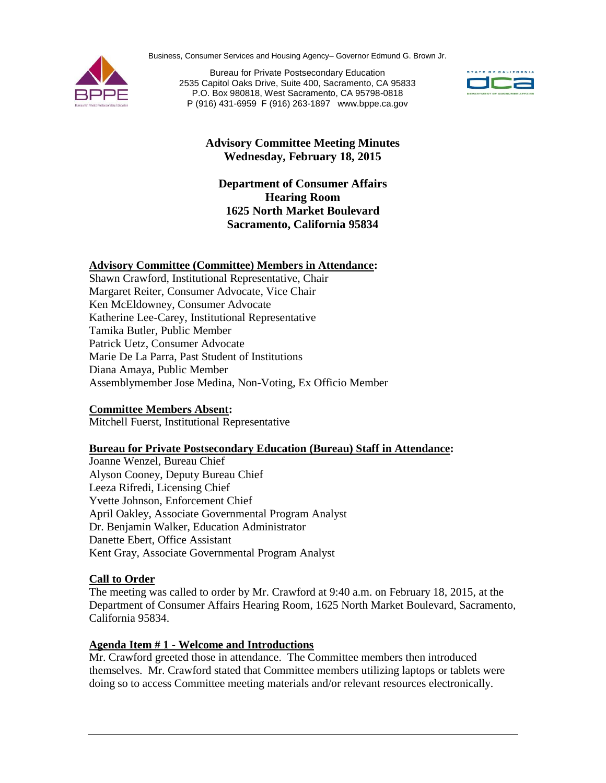Business, Consumer Services and Housing Agency– Governor Edmund G. Brown Jr.



Bureau for Private Postsecondary Education 2535 Capitol Oaks Drive, Suite 400, Sacramento, CA 95833 P.O. Box 980818, West Sacramento, CA 95798-0818 P (916) 431-6959 F (916) 263-1897 www.bppe.ca.gov



# **Advisory Committee Meeting Minutes Wednesday, February 18, 2015**

# **Department of Consumer Affairs Hearing Room 1625 North Market Boulevard Sacramento, California 95834**

### **Advisory Committee (Committee) Members in Attendance:**

Shawn Crawford, Institutional Representative, Chair Margaret Reiter, Consumer Advocate, Vice Chair Ken McEldowney, Consumer Advocate Katherine Lee-Carey, Institutional Representative Tamika Butler, Public Member Patrick Uetz, Consumer Advocate Marie De La Parra, Past Student of Institutions Diana Amaya, Public Member Assemblymember Jose Medina, Non-Voting, Ex Officio Member

#### **Committee Members Absent:**

Mitchell Fuerst, Institutional Representative

#### **Bureau for Private Postsecondary Education (Bureau) Staff in Attendance:**

Joanne Wenzel, Bureau Chief Alyson Cooney, Deputy Bureau Chief Leeza Rifredi, Licensing Chief Yvette Johnson, Enforcement Chief April Oakley, Associate Governmental Program Analyst Dr. Benjamin Walker, Education Administrator Danette Ebert, Office Assistant Kent Gray, Associate Governmental Program Analyst

#### **Call to Order**

The meeting was called to order by Mr. Crawford at 9:40 a.m. on February 18, 2015, at the Department of Consumer Affairs Hearing Room, 1625 North Market Boulevard, Sacramento, California 95834.

#### **Agenda Item # 1 - Welcome and Introductions**

Mr. Crawford greeted those in attendance. The Committee members then introduced themselves. Mr. Crawford stated that Committee members utilizing laptops or tablets were doing so to access Committee meeting materials and/or relevant resources electronically.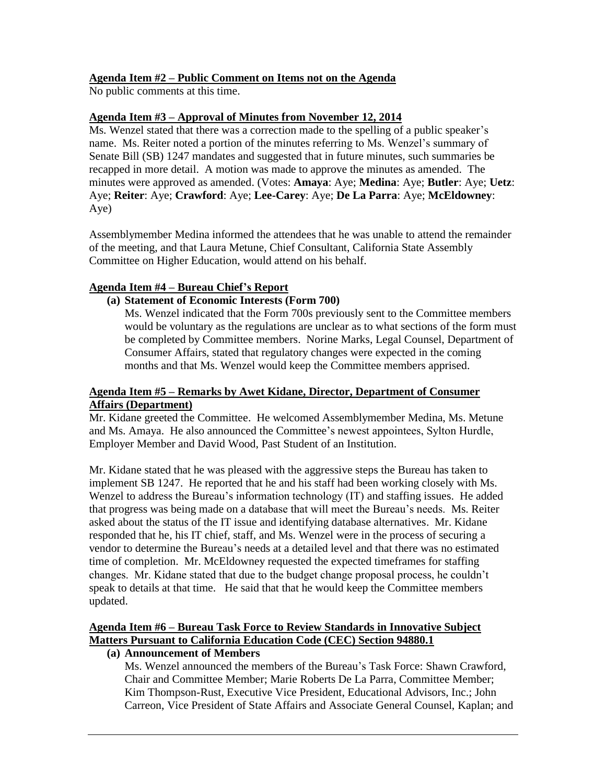## **Agenda Item #2 – Public Comment on Items not on the Agenda**

No public comments at this time.

## **Agenda Item #3 – Approval of Minutes from November 12, 2014**

Ms. Wenzel stated that there was a correction made to the spelling of a public speaker's name. Ms. Reiter noted a portion of the minutes referring to Ms. Wenzel's summary of Senate Bill (SB) 1247 mandates and suggested that in future minutes, such summaries be recapped in more detail. A motion was made to approve the minutes as amended. The minutes were approved as amended. (Votes: **Amaya**: Aye; **Medina**: Aye; **Butler**: Aye; **Uetz**: Aye; **Reiter**: Aye; **Crawford**: Aye; **Lee-Carey**: Aye; **De La Parra**: Aye; **McEldowney**: Aye)

Assemblymember Medina informed the attendees that he was unable to attend the remainder of the meeting, and that Laura Metune, Chief Consultant, California State Assembly Committee on Higher Education, would attend on his behalf.

## **Agenda Item #4 – Bureau Chief's Report**

### **(a) Statement of Economic Interests (Form 700)**

Ms. Wenzel indicated that the Form 700s previously sent to the Committee members would be voluntary as the regulations are unclear as to what sections of the form must be completed by Committee members. Norine Marks, Legal Counsel, Department of Consumer Affairs, stated that regulatory changes were expected in the coming months and that Ms. Wenzel would keep the Committee members apprised.

### **Agenda Item #5 – Remarks by Awet Kidane, Director, Department of Consumer Affairs (Department)**

Mr. Kidane greeted the Committee. He welcomed Assemblymember Medina, Ms. Metune and Ms. Amaya. He also announced the Committee's newest appointees, Sylton Hurdle, Employer Member and David Wood, Past Student of an Institution.

Mr. Kidane stated that he was pleased with the aggressive steps the Bureau has taken to implement SB 1247. He reported that he and his staff had been working closely with Ms. Wenzel to address the Bureau's information technology (IT) and staffing issues. He added that progress was being made on a database that will meet the Bureau's needs. Ms. Reiter asked about the status of the IT issue and identifying database alternatives. Mr. Kidane responded that he, his IT chief, staff, and Ms. Wenzel were in the process of securing a vendor to determine the Bureau's needs at a detailed level and that there was no estimated time of completion. Mr. McEldowney requested the expected timeframes for staffing changes. Mr. Kidane stated that due to the budget change proposal process, he couldn't speak to details at that time. He said that that he would keep the Committee members updated.

## **Agenda Item #6 – Bureau Task Force to Review Standards in Innovative Subject Matters Pursuant to California Education Code (CEC) Section 94880.1**

## **(a) Announcement of Members**

Ms. Wenzel announced the members of the Bureau's Task Force: Shawn Crawford, Chair and Committee Member; Marie Roberts De La Parra, Committee Member; Kim Thompson-Rust, Executive Vice President, Educational Advisors, Inc.; John Carreon, Vice President of State Affairs and Associate General Counsel, Kaplan; and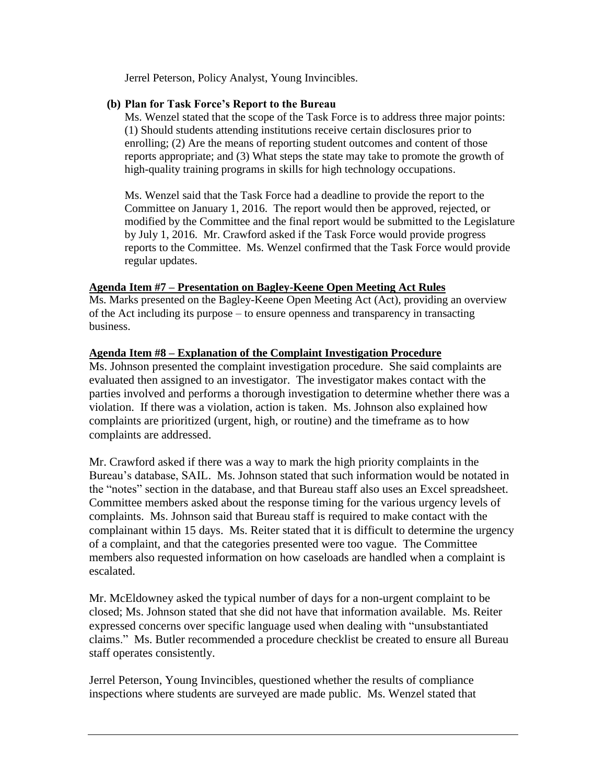Jerrel Peterson, Policy Analyst, Young Invincibles.

## **(b) Plan for Task Force's Report to the Bureau**

Ms. Wenzel stated that the scope of the Task Force is to address three major points: (1) Should students attending institutions receive certain disclosures prior to enrolling; (2) Are the means of reporting student outcomes and content of those reports appropriate; and (3) What steps the state may take to promote the growth of high-quality training programs in skills for high technology occupations.

Ms. Wenzel said that the Task Force had a deadline to provide the report to the Committee on January 1, 2016. The report would then be approved, rejected, or modified by the Committee and the final report would be submitted to the Legislature by July 1, 2016. Mr. Crawford asked if the Task Force would provide progress reports to the Committee. Ms. Wenzel confirmed that the Task Force would provide regular updates.

### **Agenda Item #7 – Presentation on Bagley-Keene Open Meeting Act Rules**

Ms. Marks presented on the Bagley-Keene Open Meeting Act (Act), providing an overview of the Act including its purpose – to ensure openness and transparency in transacting business.

### **Agenda Item #8 – Explanation of the Complaint Investigation Procedure**

Ms. Johnson presented the complaint investigation procedure. She said complaints are evaluated then assigned to an investigator. The investigator makes contact with the parties involved and performs a thorough investigation to determine whether there was a violation. If there was a violation, action is taken. Ms. Johnson also explained how complaints are prioritized (urgent, high, or routine) and the timeframe as to how complaints are addressed.

Mr. Crawford asked if there was a way to mark the high priority complaints in the Bureau's database, SAIL. Ms. Johnson stated that such information would be notated in the "notes" section in the database, and that Bureau staff also uses an Excel spreadsheet. Committee members asked about the response timing for the various urgency levels of complaints. Ms. Johnson said that Bureau staff is required to make contact with the complainant within 15 days. Ms. Reiter stated that it is difficult to determine the urgency of a complaint, and that the categories presented were too vague. The Committee members also requested information on how caseloads are handled when a complaint is escalated.

Mr. McEldowney asked the typical number of days for a non-urgent complaint to be closed; Ms. Johnson stated that she did not have that information available. Ms. Reiter expressed concerns over specific language used when dealing with "unsubstantiated claims." Ms. Butler recommended a procedure checklist be created to ensure all Bureau staff operates consistently.

Jerrel Peterson, Young Invincibles, questioned whether the results of compliance inspections where students are surveyed are made public. Ms. Wenzel stated that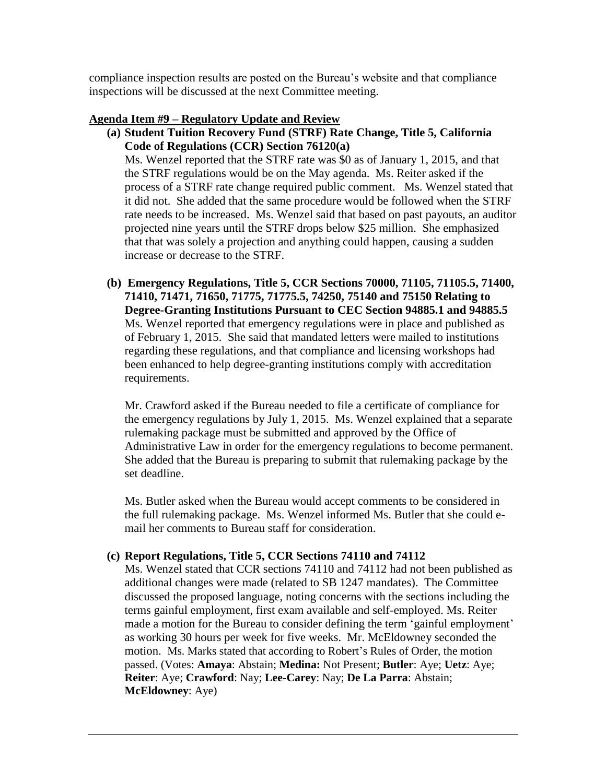compliance inspection results are posted on the Bureau's website and that compliance inspections will be discussed at the next Committee meeting.

## **Agenda Item #9 – Regulatory Update and Review**

**(a) Student Tuition Recovery Fund (STRF) Rate Change, Title 5, California Code of Regulations (CCR) Section 76120(a)** 

Ms. Wenzel reported that the STRF rate was \$0 as of January 1, 2015, and that the STRF regulations would be on the May agenda. Ms. Reiter asked if the process of a STRF rate change required public comment. Ms. Wenzel stated that it did not. She added that the same procedure would be followed when the STRF rate needs to be increased. Ms. Wenzel said that based on past payouts, an auditor projected nine years until the STRF drops below \$25 million. She emphasized that that was solely a projection and anything could happen, causing a sudden increase or decrease to the STRF.

**(b) Emergency Regulations, Title 5, CCR Sections 70000, 71105, 71105.5, 71400, 71410, 71471, 71650, 71775, 71775.5, 74250, 75140 and 75150 Relating to Degree-Granting Institutions Pursuant to CEC Section 94885.1 and 94885.5** Ms. Wenzel reported that emergency regulations were in place and published as of February 1, 2015. She said that mandated letters were mailed to institutions regarding these regulations, and that compliance and licensing workshops had been enhanced to help degree-granting institutions comply with accreditation requirements.

Mr. Crawford asked if the Bureau needed to file a certificate of compliance for the emergency regulations by July 1, 2015. Ms. Wenzel explained that a separate rulemaking package must be submitted and approved by the Office of Administrative Law in order for the emergency regulations to become permanent. She added that the Bureau is preparing to submit that rulemaking package by the set deadline.

Ms. Butler asked when the Bureau would accept comments to be considered in the full rulemaking package. Ms. Wenzel informed Ms. Butler that she could email her comments to Bureau staff for consideration.

# **(c) Report Regulations, Title 5, CCR Sections 74110 and 74112**

Ms. Wenzel stated that CCR sections 74110 and 74112 had not been published as additional changes were made (related to SB 1247 mandates). The Committee discussed the proposed language, noting concerns with the sections including the terms gainful employment, first exam available and self-employed. Ms. Reiter made a motion for the Bureau to consider defining the term 'gainful employment' as working 30 hours per week for five weeks. Mr. McEldowney seconded the motion. Ms. Marks stated that according to Robert's Rules of Order, the motion passed. (Votes: **Amaya**: Abstain; **Medina:** Not Present; **Butler**: Aye; **Uetz**: Aye; **Reiter**: Aye; **Crawford**: Nay; **Lee-Carey**: Nay; **De La Parra**: Abstain; **McEldowney**: Aye)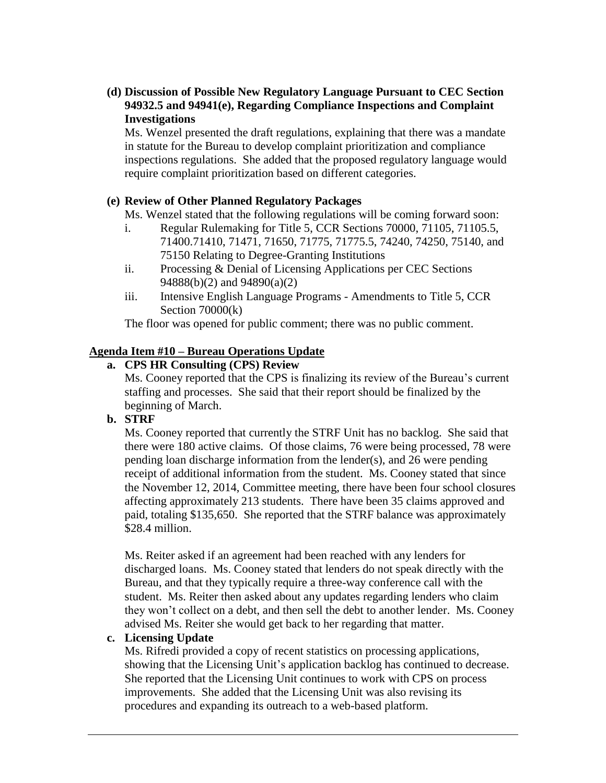# **(d) Discussion of Possible New Regulatory Language Pursuant to CEC Section 94932.5 and 94941(e), Regarding Compliance Inspections and Complaint Investigations**

Ms. Wenzel presented the draft regulations, explaining that there was a mandate in statute for the Bureau to develop complaint prioritization and compliance inspections regulations. She added that the proposed regulatory language would require complaint prioritization based on different categories.

## **(e) Review of Other Planned Regulatory Packages**

Ms. Wenzel stated that the following regulations will be coming forward soon:

- i. Regular Rulemaking for Title 5, CCR Sections 70000, 71105, 71105.5, 71400.71410, 71471, 71650, 71775, 71775.5, 74240, 74250, 75140, and 75150 Relating to Degree-Granting Institutions
- ii. Processing & Denial of Licensing Applications per CEC Sections 94888(b)(2) and 94890(a)(2)
- iii. Intensive English Language Programs Amendments to Title 5, CCR Section 70000(k)

The floor was opened for public comment; there was no public comment.

## **Agenda Item #10 – Bureau Operations Update**

# **a. CPS HR Consulting (CPS) Review**

Ms. Cooney reported that the CPS is finalizing its review of the Bureau's current staffing and processes. She said that their report should be finalized by the beginning of March.

## **b. STRF**

Ms. Cooney reported that currently the STRF Unit has no backlog. She said that there were 180 active claims. Of those claims, 76 were being processed, 78 were pending loan discharge information from the lender(s), and 26 were pending receipt of additional information from the student. Ms. Cooney stated that since the November 12, 2014, Committee meeting, there have been four school closures affecting approximately 213 students. There have been 35 claims approved and paid, totaling \$135,650. She reported that the STRF balance was approximately \$28.4 million.

Ms. Reiter asked if an agreement had been reached with any lenders for discharged loans. Ms. Cooney stated that lenders do not speak directly with the Bureau, and that they typically require a three-way conference call with the student. Ms. Reiter then asked about any updates regarding lenders who claim they won't collect on a debt, and then sell the debt to another lender. Ms. Cooney advised Ms. Reiter she would get back to her regarding that matter.

## **c. Licensing Update**

Ms. Rifredi provided a copy of recent statistics on processing applications, showing that the Licensing Unit's application backlog has continued to decrease. She reported that the Licensing Unit continues to work with CPS on process improvements. She added that the Licensing Unit was also revising its procedures and expanding its outreach to a web-based platform.